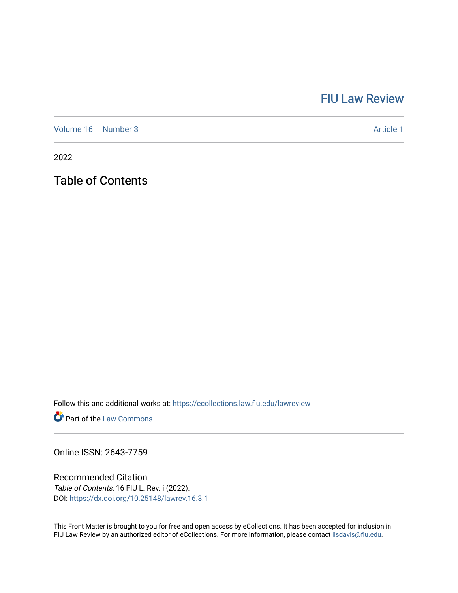## [FIU Law Review](https://ecollections.law.fiu.edu/lawreview)

[Volume 16](https://ecollections.law.fiu.edu/lawreview/vol16) [Number 3](https://ecollections.law.fiu.edu/lawreview/vol16/iss3) Article 1

2022

Table of Contents

Follow this and additional works at: [https://ecollections.law.fiu.edu/lawreview](https://ecollections.law.fiu.edu/lawreview?utm_source=ecollections.law.fiu.edu%2Flawreview%2Fvol16%2Fiss3%2F1&utm_medium=PDF&utm_campaign=PDFCoverPages)

**Part of the [Law Commons](https://network.bepress.com/hgg/discipline/578?utm_source=ecollections.law.fiu.edu%2Flawreview%2Fvol16%2Fiss3%2F1&utm_medium=PDF&utm_campaign=PDFCoverPages)** 

Online ISSN: 2643-7759

Recommended Citation Table of Contents, 16 FIU L. Rev. i (2022). DOI:<https://dx.doi.org/10.25148/lawrev.16.3.1>

This Front Matter is brought to you for free and open access by eCollections. It has been accepted for inclusion in FIU Law Review by an authorized editor of eCollections. For more information, please contact [lisdavis@fiu.edu.](mailto:lisdavis@fiu.edu)